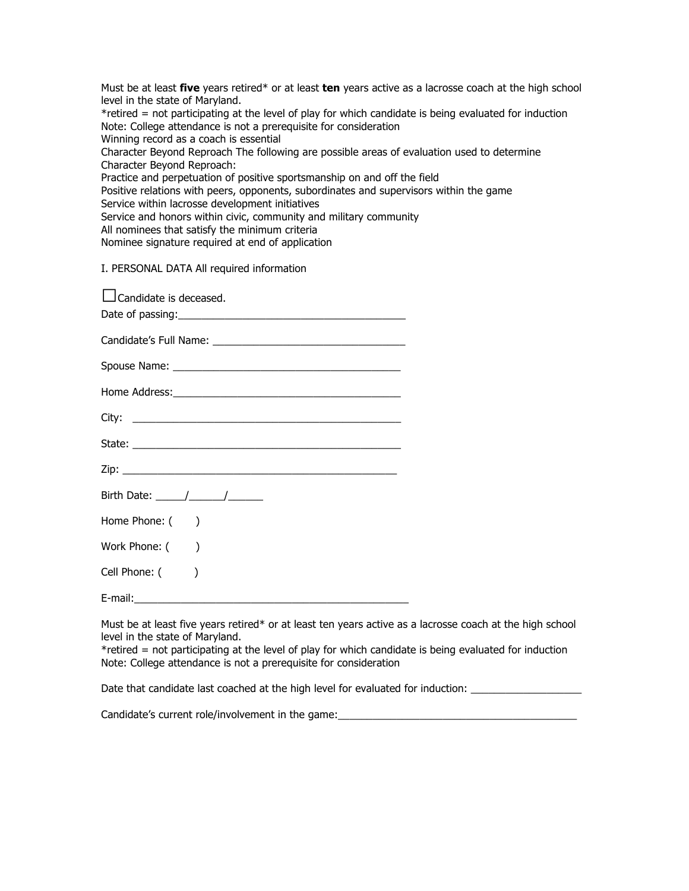Must be at least **five** years retired\* or at least **ten** years active as a lacrosse coach at the high school level in the state of Maryland. \*retired = not participating at the level of play for which candidate is being evaluated for induction Note: College attendance is not a prerequisite for consideration Winning record as a coach is essential Character Beyond Reproach The following are possible areas of evaluation used to determine Character Beyond Reproach: Practice and perpetuation of positive sportsmanship on and off the field Positive relations with peers, opponents, subordinates and supervisors within the game Service within lacrosse development initiatives Service and honors within civic, community and military community All nominees that satisfy the minimum criteria Nominee signature required at end of application I. PERSONAL DATA All required information

| Candidate is deceased.                                                                                                                                                                                                                                                                                                                                                                                              |
|---------------------------------------------------------------------------------------------------------------------------------------------------------------------------------------------------------------------------------------------------------------------------------------------------------------------------------------------------------------------------------------------------------------------|
|                                                                                                                                                                                                                                                                                                                                                                                                                     |
|                                                                                                                                                                                                                                                                                                                                                                                                                     |
|                                                                                                                                                                                                                                                                                                                                                                                                                     |
|                                                                                                                                                                                                                                                                                                                                                                                                                     |
|                                                                                                                                                                                                                                                                                                                                                                                                                     |
|                                                                                                                                                                                                                                                                                                                                                                                                                     |
|                                                                                                                                                                                                                                                                                                                                                                                                                     |
| Birth Date: $\frac{1}{\sqrt{1-\frac{1}{2}}}\frac{1}{\sqrt{1-\frac{1}{2}}}\frac{1}{\sqrt{1-\frac{1}{2}}}\frac{1}{\sqrt{1-\frac{1}{2}}}\frac{1}{\sqrt{1-\frac{1}{2}}}\frac{1}{\sqrt{1-\frac{1}{2}}}\frac{1}{\sqrt{1-\frac{1}{2}}}\frac{1}{\sqrt{1-\frac{1}{2}}}\frac{1}{\sqrt{1-\frac{1}{2}}}\frac{1}{\sqrt{1-\frac{1}{2}}}\frac{1}{\sqrt{1-\frac{1}{2}}}\frac{1}{\sqrt{1-\frac{1}{2}}}\frac{1}{\sqrt{1-\frac{1}{2}}$ |
| Home Phone: ()                                                                                                                                                                                                                                                                                                                                                                                                      |
| Work Phone: ()                                                                                                                                                                                                                                                                                                                                                                                                      |
| Cell Phone: ()                                                                                                                                                                                                                                                                                                                                                                                                      |
| $E$ -mail: $\_\_\_\_\_\_\_\_\_\_\$                                                                                                                                                                                                                                                                                                                                                                                  |

Must be at least five years retired\* or at least ten years active as a lacrosse coach at the high school level in the state of Maryland.

\*retired = not participating at the level of play for which candidate is being evaluated for induction Note: College attendance is not a prerequisite for consideration

Date that candidate last coached at the high level for evaluated for induction:

Candidate's current role/involvement in the game: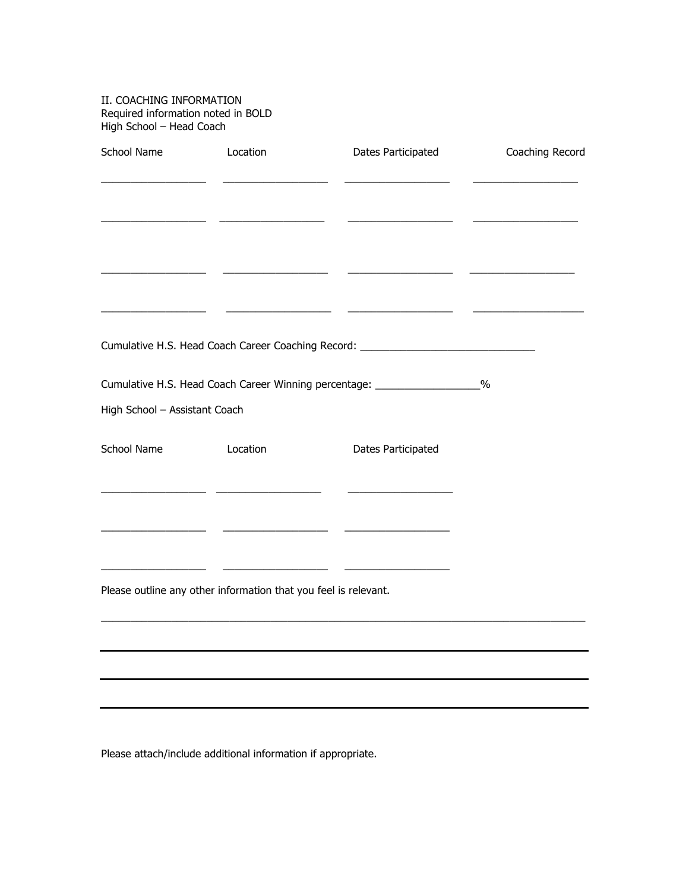| II. COACHING INFORMATION<br>Required information noted in BOLD<br>High School - Head Coach                           |                                                                 |                                                                                  |                 |
|----------------------------------------------------------------------------------------------------------------------|-----------------------------------------------------------------|----------------------------------------------------------------------------------|-----------------|
| School Name Location                                                                                                 |                                                                 | Dates Participated                                                               | Coaching Record |
|                                                                                                                      |                                                                 |                                                                                  |                 |
|                                                                                                                      |                                                                 |                                                                                  |                 |
|                                                                                                                      |                                                                 |                                                                                  |                 |
|                                                                                                                      |                                                                 |                                                                                  |                 |
|                                                                                                                      |                                                                 |                                                                                  |                 |
|                                                                                                                      |                                                                 |                                                                                  |                 |
|                                                                                                                      |                                                                 | Cumulative H.S. Head Coach Career Coaching Record: _____________________________ |                 |
|                                                                                                                      |                                                                 | Cumulative H.S. Head Coach Career Winning percentage: _________________%         |                 |
| High School - Assistant Coach                                                                                        |                                                                 |                                                                                  |                 |
| School Name Location                                                                                                 |                                                                 | Dates Participated                                                               |                 |
|                                                                                                                      |                                                                 | <u> 1989 - Jan James James, maria al-Amerikaan (</u>                             |                 |
| <u> 1980 - Andrea Albert III, poet e provincia a provincia a provincia a provincia a provincia a provincia a pro</u> |                                                                 |                                                                                  |                 |
|                                                                                                                      |                                                                 |                                                                                  |                 |
|                                                                                                                      | Please outline any other information that you feel is relevant. |                                                                                  |                 |
|                                                                                                                      |                                                                 |                                                                                  |                 |
|                                                                                                                      |                                                                 |                                                                                  |                 |
|                                                                                                                      |                                                                 |                                                                                  |                 |
|                                                                                                                      |                                                                 |                                                                                  |                 |

Please attach/include additional information if appropriate.